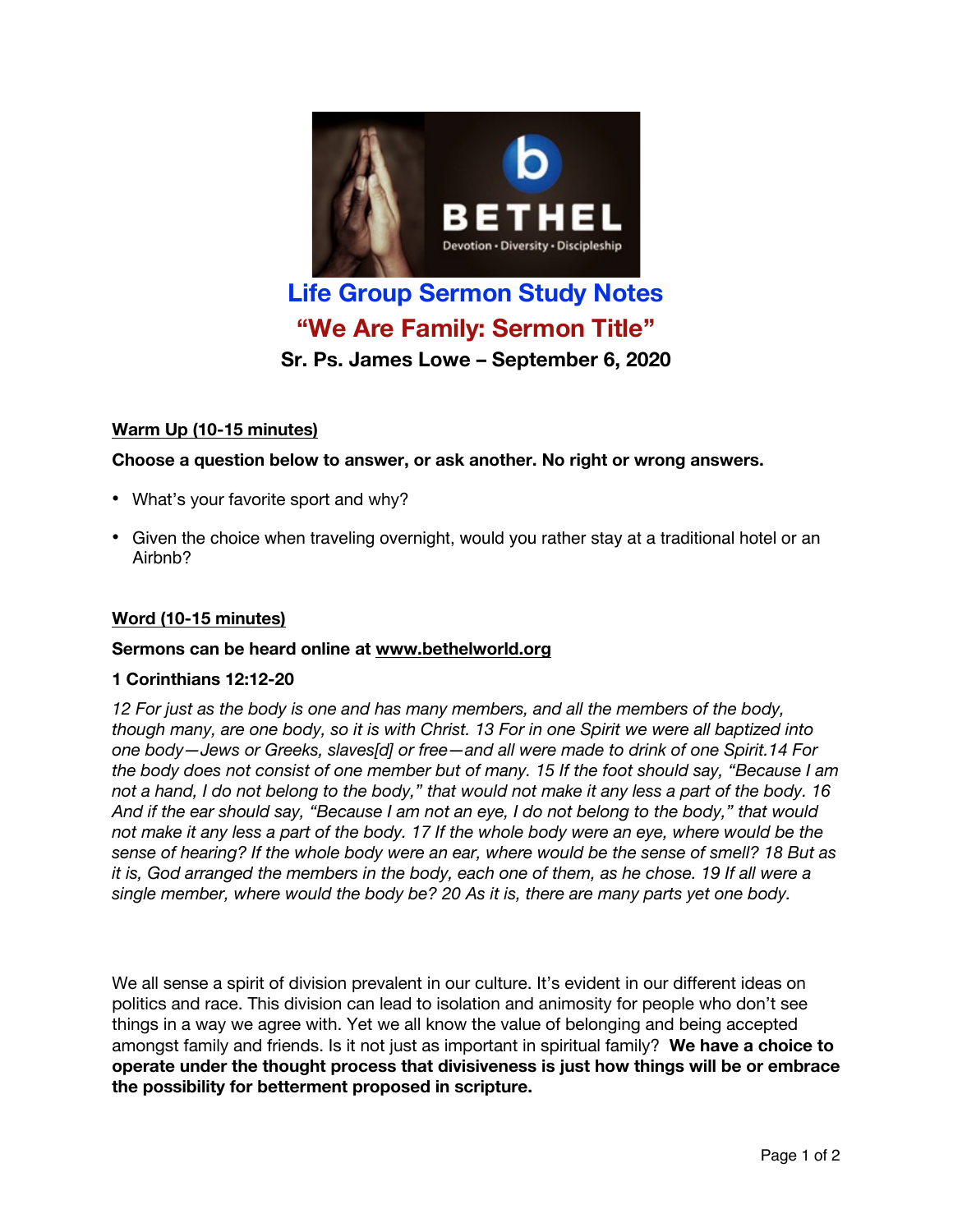

**Sr. Ps. James Lowe – September 6, 2020**

# **Warm Up (10-15 minutes)**

### **Choose a question below to answer, or ask another. No right or wrong answers.**

- What's your favorite sport and why?
- Given the choice when traveling overnight, would you rather stay at a traditional hotel or an Airbnb?

### **Word (10-15 minutes)**

#### **Sermons can be heard online at www.bethelworld.org**

#### **1 Corinthians 12:12-20**

*12 For just as the body is one and has many members, and all the members of the body,* though many, are one body, so it is with Christ. 13 For in one Spirit we were all baptized into *one body—Jews or Greeks, slaves[d] or free—and all were made to drink of one Spirit.14 For* the body does not consist of one member but of many. 15 If the foot should say, "Because I am not a hand, I do not belong to the body," that would not make it any less a part of the body. 16 And if the ear should say, "Because I am not an eye, I do not belong to the body," that would not make it any less a part of the body. 17 If the whole body were an eye, where would be the sense of hearing? If the whole body were an ear, where would be the sense of smell? 18 But as it is, God arranged the members in the body, each one of them, as he chose. 19 If all were a *single member, where would the body be? 20 As it is, there are many parts yet one body.*

We all sense a spirit of division prevalent in our culture. It's evident in our different ideas on politics and race. This division can lead to isolation and animosity for people who don't see things in a way we agree with. Yet we all know the value of belonging and being accepted amongst family and friends. Is it not just as important in spiritual family? **We have a choice to operate under the thought process that divisiveness is just how things will be or embrace the possibility for betterment proposed in scripture.**